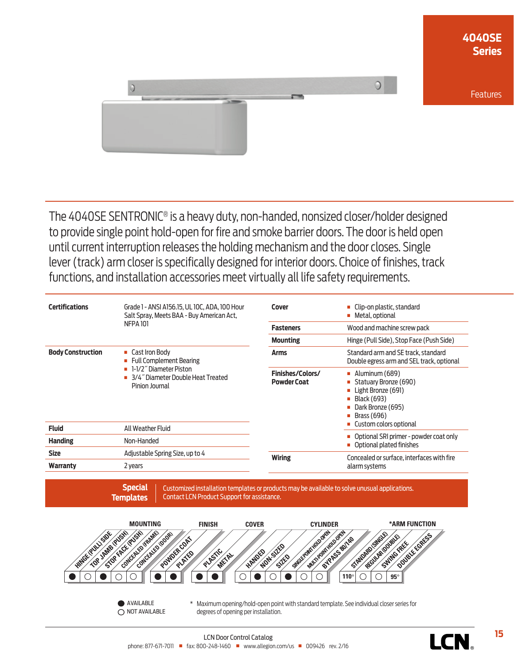

The 4040SE SENTRONIC® is a heavy duty, non-handed, nonsized closer/holder designed to provide single point hold-open for fire and smoke barrier doors. The door is held open until current interruption releases the holding mechanism and the door closes. Single lever (track) arm closer is specifically designed for interior doors. Choice of finishes, track functions, and installation accessories meet virtually all life safety requirements.

| <b>Certifications</b>    | Grade 1 - ANSI A156.15, UL 10C, ADA, 100 Hour<br>Salt Spray, Meets BAA - Buy American Act,<br><b>NFPA 101</b>                           | Cover                                  | Clip-on plastic, standard<br>Metal, optional<br>п                                                                                            |
|--------------------------|-----------------------------------------------------------------------------------------------------------------------------------------|----------------------------------------|----------------------------------------------------------------------------------------------------------------------------------------------|
|                          |                                                                                                                                         | <b>Fasteners</b>                       | Wood and machine screw pack                                                                                                                  |
|                          |                                                                                                                                         | <b>Mounting</b>                        | Hinge (Pull Side), Stop Face (Push Side)                                                                                                     |
| <b>Body Construction</b> | ■ Cast Iron Body<br>• Full Complement Bearing<br><b>-</b> 1-1/2" Diameter Piston<br>3/4" Diameter Double Heat Treated<br>Pinion Journal | <b>Arms</b>                            | Standard arm and SE track, standard<br>Double egress arm and SEL track, optional                                                             |
|                          |                                                                                                                                         | Finishes/Colors/<br><b>Powder Coat</b> | Aluminum (689)<br>$\blacksquare$<br>Statuary Bronze (690)<br>Light Bronze (691)<br>П<br>Black (693)<br>Dark Bronze (695)<br>Brass (696)<br>ш |
| <b>Fluid</b>             | All Weather Fluid                                                                                                                       |                                        | Custom colors optional                                                                                                                       |
| <b>Handing</b>           | Non-Handed                                                                                                                              |                                        | Optional SRI primer - powder coat only<br>Optional plated finishes                                                                           |
| <b>Size</b>              | Adjustable Spring Size, up to 4                                                                                                         | <b>Wiring</b>                          | Concealed or surface, interfaces with fire                                                                                                   |
| Warranty                 | 2 years                                                                                                                                 |                                        | alarm systems                                                                                                                                |

**Special Templates** Customized installation templates or products may be available to solve unusual applications. Contact LCN Product Support for assistance.



**AVAILABLE** O NOT AVAILABLE \* Maximum opening/hold-open point with standard template. See individual closer series for degrees of opening per installation.

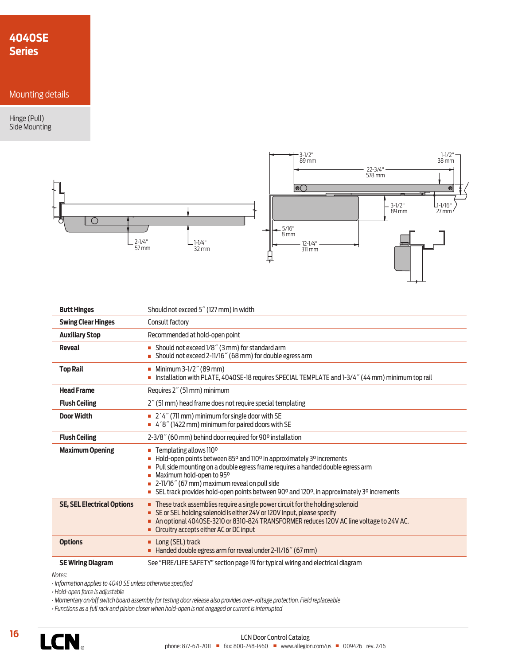# **4040SE Series**

## Mounting details

Hinge (Pull) Side Mounting



| <b>Butt Hinges</b>                | Should not exceed 5" (127 mm) in width                                                                                                                                                                                                                                                                                                                                      |  |
|-----------------------------------|-----------------------------------------------------------------------------------------------------------------------------------------------------------------------------------------------------------------------------------------------------------------------------------------------------------------------------------------------------------------------------|--|
| <b>Swing Clear Hinges</b>         | Consult factory                                                                                                                                                                                                                                                                                                                                                             |  |
| <b>Auxiliary Stop</b>             | Recommended at hold-open point                                                                                                                                                                                                                                                                                                                                              |  |
| <b>Reveal</b>                     | Should not exceed 1/8" (3 mm) for standard arm<br>Should not exceed 2-11/16" (68 mm) for double egress arm                                                                                                                                                                                                                                                                  |  |
| <b>Top Rail</b>                   | Minimum 3-1/2" (89 mm)<br>Installation with PLATE, 4040SE-18 requires SPECIAL TEMPLATE and 1-3/4" (44 mm) minimum top rail                                                                                                                                                                                                                                                  |  |
| <b>Head Frame</b>                 | Requires 2" (51 mm) minimum                                                                                                                                                                                                                                                                                                                                                 |  |
| <b>Flush Ceiling</b>              | 2" (51 mm) head frame does not require special templating                                                                                                                                                                                                                                                                                                                   |  |
| <b>Door Width</b>                 | $\blacksquare$ 2'4" (711 mm) minimum for single door with SE<br>$\blacksquare$ 4'8" (1422 mm) minimum for paired doors with SE                                                                                                                                                                                                                                              |  |
| <b>Flush Ceiling</b>              | 2-3/8" (60 mm) behind door required for 90° installation                                                                                                                                                                                                                                                                                                                    |  |
| <b>Maximum Opening</b>            | Templating allows 110°<br>$\blacksquare$<br>Hold-open points between 85° and 110° in approximately 3° increments<br>Pull side mounting on a double egress frame requires a handed double egress arm<br>Maximum hold-open to 95°<br>2-11/16" (67 mm) maximum reveal on pull side<br>SEL track provides hold-open points between 90° and 120°, in approximately 3° increments |  |
| <b>SE, SEL Electrical Options</b> | These track assemblies require a single power circuit for the holding solenoid<br>SE or SEL holding solenoid is either 24V or 120V input, please specify<br>An optional 4040SE-3210 or 8310-824 TRANSFORMER reduces 120V AC line voltage to 24V AC.<br>• Circuitry accepts either AC or DC input                                                                            |  |
| <b>Options</b>                    | Long (SEL) track<br>٠<br>Handed double egress arm for reveal under 2-11/16" (67 mm)                                                                                                                                                                                                                                                                                         |  |
| <b>SE Wiring Diagram</b>          | See "FIRE/LIFE SAFETY" section page 19 for typical wiring and electrical diagram                                                                                                                                                                                                                                                                                            |  |

*Notes:*

*• Information applies to 4040 SE unless otherwise specified*

*• Hold-open force is adjustable*

*• Momentary on/off switch board assembly for testing door release also provides over-voltage protection. Field replaceable*

*• Functions as a full rack and pinion closer when hold-open is not engaged or current is interrupted*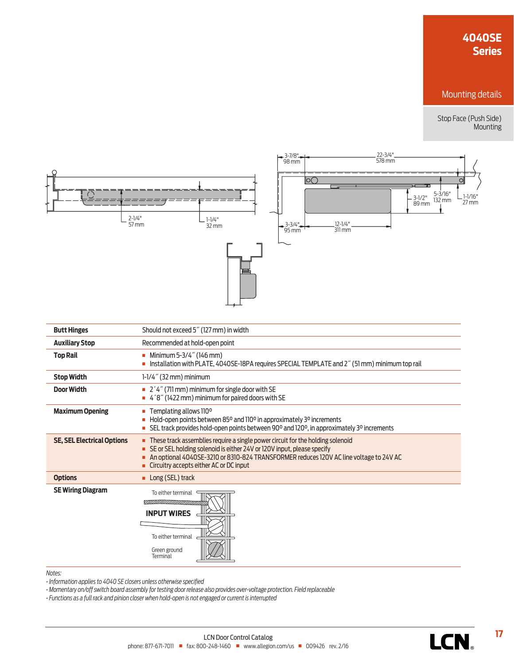# **4040SE Series**

## Mounting details

Stop Face (Push Side) Mounting



| <b>Butt Hinges</b>                | Should not exceed 5" (127 mm) in width                                                                                                                                                                                                                                                             |  |  |
|-----------------------------------|----------------------------------------------------------------------------------------------------------------------------------------------------------------------------------------------------------------------------------------------------------------------------------------------------|--|--|
| <b>Auxiliary Stop</b>             | Recommended at hold-open point                                                                                                                                                                                                                                                                     |  |  |
| <b>Top Rail</b>                   | Minimum 5-3/4" (146 mm)<br>Installation with PLATE, 4040SE-18PA requires SPECIAL TEMPLATE and 2" (51 mm) minimum top rail                                                                                                                                                                          |  |  |
| <b>Stop Width</b>                 | $1-1/4$ " (32 mm) minimum                                                                                                                                                                                                                                                                          |  |  |
| <b>Door Width</b>                 | $\blacksquare$ 2 '4" (711 mm) minimum for single door with SE<br>4'8" (1422 mm) minimum for paired doors with SE                                                                                                                                                                                   |  |  |
| <b>Maximum Opening</b>            | Templating allows 110 <sup>o</sup><br>Hold-open points between 85° and 110° in approximately 3° increments<br>SEL track provides hold-open points between 90° and 120°, in approximately 3° increments                                                                                             |  |  |
| <b>SE, SEL Electrical Options</b> | These track assemblies require a single power circuit for the holding solenoid<br>٠<br>SE or SEL holding solenoid is either 24V or 120V input, please specify<br>An optional 4040SE-3210 or 8310-824 TRANSFORMER reduces 120V AC line voltage to 24V AC<br>Circuitry accepts either AC or DC input |  |  |
| <b>Options</b>                    | Long (SEL) track<br>٠                                                                                                                                                                                                                                                                              |  |  |
| <b>SE Wiring Diagram</b>          | To either terminal<br><b>INPUT WIRES</b><br>To either terminal<br>Green ground<br>Terminal                                                                                                                                                                                                         |  |  |

### *Notes:*

*• Information applies to 4040 SE closers unless otherwise specified*

*• Momentary on/off switch board assembly for testing door release also provides over-voltage protection. Field replaceable*

*• Functions as a full rack and pinion closer when hold-open is not engaged or current is interrupted*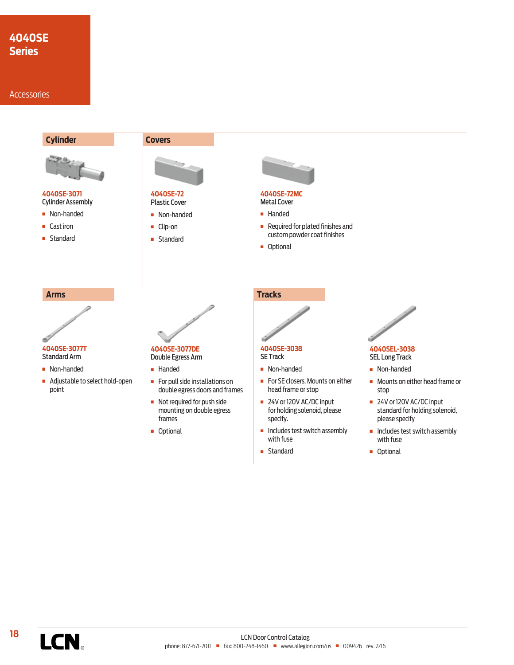# **4040SE Series**

### **Accessories**

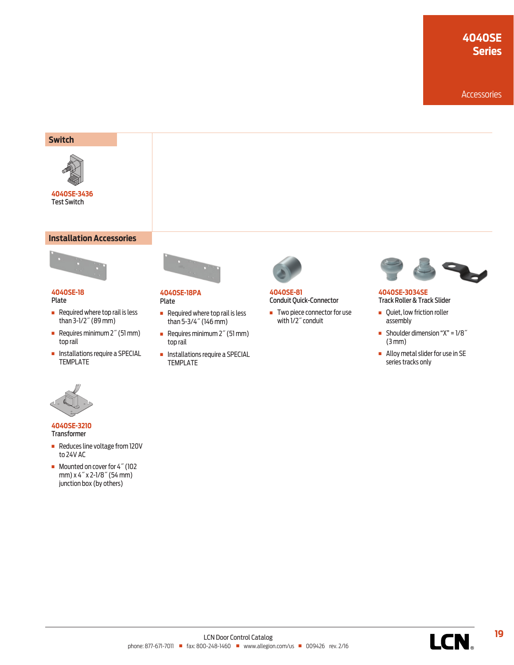# **4040SE Series**

Accessories

### **Switch**



**4040SE-3436** Test Switch

### **Installation Accessories**



#### **4040SE-18** Plate

- $\blacksquare$  Required where top rail is less than 3-1/2˝ (89 mm)
- Requires minimum 2<sup>"</sup> (51 mm) top rail
- **n** Installations require a SPECIAL TEMPLATE



#### **4040SE-18PA** Plate

- $\blacksquare$  Required where top rail is less than 5-3/4˝ (146 mm)
- Requires minimum  $2^{\prime\prime}$  (51 mm) top rail
- **n** Installations require a SPECIAL TEMPLATE



### **4040SE-81** Conduit Quick-Connector

 $\blacksquare$  Two piece connector for use with 1/2˝ conduit



### **4040SE-3034SE** Track Roller & Track Slider

- **•** Quiet, low friction roller assembly
- Shoulder dimension " $X$ " =  $1/8$ " (3 mm)
- **n** Alloy metal slider for use in SE series tracks only



#### **4040SE-3210** Transformer

- **Reduces line voltage from 120V** to 24V AC
- Mounted on cover for 4<sup>*"*</sup> (102 mm) x 4˝ x 2-1/8˝ (54 mm) junction box (by others)